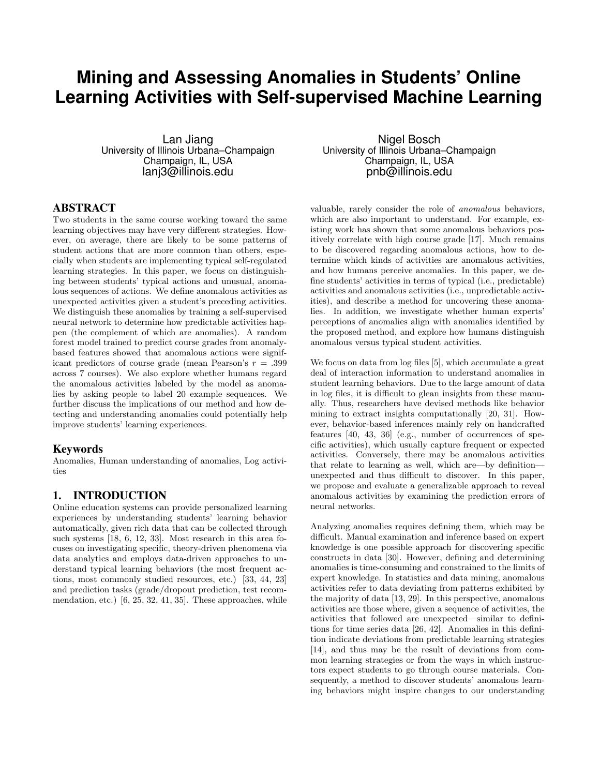# **Mining and Assessing Anomalies in Students' Online Learning Activities with Self-supervised Machine Learning**

Lan Jiang University of Illinois Urbana–Champaign Champaign, IL, USA lanj3@illinois.edu

## ABSTRACT

Two students in the same course working toward the same learning objectives may have very different strategies. However, on average, there are likely to be some patterns of student actions that are more common than others, especially when students are implementing typical self-regulated learning strategies. In this paper, we focus on distinguishing between students' typical actions and unusual, anomalous sequences of actions. We define anomalous activities as unexpected activities given a student's preceding activities. We distinguish these anomalies by training a self-supervised neural network to determine how predictable activities happen (the complement of which are anomalies). A random forest model trained to predict course grades from anomalybased features showed that anomalous actions were significant predictors of course grade (mean Pearson's  $r = .399$ across 7 courses). We also explore whether humans regard the anomalous activities labeled by the model as anomalies by asking people to label 20 example sequences. We further discuss the implications of our method and how detecting and understanding anomalies could potentially help improve students' learning experiences.

#### Keywords

Anomalies, Human understanding of anomalies, Log activities

# 1. INTRODUCTION

Online education systems can provide personalized learning experiences by understanding students' learning behavior automatically, given rich data that can be collected through such systems [18, 6, 12, 33]. Most research in this area focuses on investigating specific, theory-driven phenomena via data analytics and employs data-driven approaches to understand typical learning behaviors (the most frequent actions, most commonly studied resources, etc.) [33, 44, 23] and prediction tasks (grade/dropout prediction, test recommendation, etc.) [6, 25, 32, 41, 35]. These approaches, while

Nigel Bosch University of Illinois Urbana–Champaign Champaign, IL, USA pnb@illinois.edu

valuable, rarely consider the role of anomalous behaviors, which are also important to understand. For example, existing work has shown that some anomalous behaviors positively correlate with high course grade [17]. Much remains to be discovered regarding anomalous actions, how to determine which kinds of activities are anomalous activities, and how humans perceive anomalies. In this paper, we define students' activities in terms of typical (i.e., predictable) activities and anomalous activities (i.e., unpredictable activities), and describe a method for uncovering these anomalies. In addition, we investigate whether human experts' perceptions of anomalies align with anomalies identified by the proposed method, and explore how humans distinguish anomalous versus typical student activities.

We focus on data from  $log$  files [5], which accumulate a great deal of interaction information to understand anomalies in student learning behaviors. Due to the large amount of data in log files, it is difficult to glean insights from these manually. Thus, researchers have devised methods like behavior mining to extract insights computationally [20, 31]. However, behavior-based inferences mainly rely on handcrafted features [40, 43, 36] (e.g., number of occurrences of specific activities), which usually capture frequent or expected activities. Conversely, there may be anomalous activities that relate to learning as well, which are—by definition unexpected and thus difficult to discover. In this paper, we propose and evaluate a generalizable approach to reveal anomalous activities by examining the prediction errors of neural networks.

Analyzing anomalies requires defining them, which may be difficult. Manual examination and inference based on expert knowledge is one possible approach for discovering specific constructs in data [30]. However, defining and determining anomalies is time-consuming and constrained to the limits of expert knowledge. In statistics and data mining, anomalous activities refer to data deviating from patterns exhibited by the majority of data [13, 29]. In this perspective, anomalous activities are those where, given a sequence of activities, the activities that followed are unexpected—similar to definitions for time series data [26, 42]. Anomalies in this definition indicate deviations from predictable learning strategies [14], and thus may be the result of deviations from common learning strategies or from the ways in which instructors expect students to go through course materials. Consequently, a method to discover students' anomalous learning behaviors might inspire changes to our understanding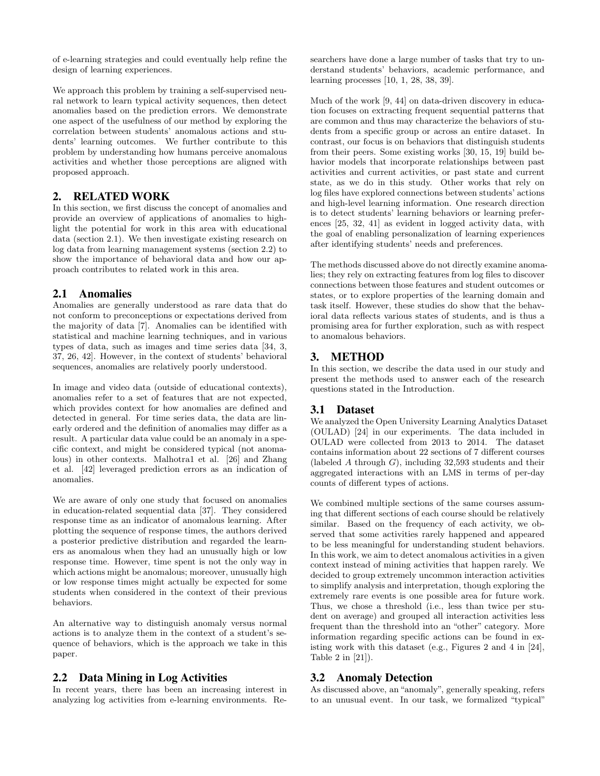of e-learning strategies and could eventually help refine the design of learning experiences.

We approach this problem by training a self-supervised neural network to learn typical activity sequences, then detect anomalies based on the prediction errors. We demonstrate one aspect of the usefulness of our method by exploring the correlation between students' anomalous actions and students' learning outcomes. We further contribute to this problem by understanding how humans perceive anomalous activities and whether those perceptions are aligned with proposed approach.

## 2. RELATED WORK

In this section, we first discuss the concept of anomalies and provide an overview of applications of anomalies to highlight the potential for work in this area with educational data (section 2.1). We then investigate existing research on log data from learning management systems (section 2.2) to show the importance of behavioral data and how our approach contributes to related work in this area.

#### 2.1 Anomalies

Anomalies are generally understood as rare data that do not conform to preconceptions or expectations derived from the majority of data [7]. Anomalies can be identified with statistical and machine learning techniques, and in various types of data, such as images and time series data [34, 3, 37, 26, 42]. However, in the context of students' behavioral sequences, anomalies are relatively poorly understood.

In image and video data (outside of educational contexts), anomalies refer to a set of features that are not expected, which provides context for how anomalies are defined and detected in general. For time series data, the data are linearly ordered and the definition of anomalies may differ as a result. A particular data value could be an anomaly in a specific context, and might be considered typical (not anomalous) in other contexts. Malhotra1 et al. [26] and Zhang et al. [42] leveraged prediction errors as an indication of anomalies.

We are aware of only one study that focused on anomalies in education-related sequential data [37]. They considered response time as an indicator of anomalous learning. After plotting the sequence of response times, the authors derived a posterior predictive distribution and regarded the learners as anomalous when they had an unusually high or low response time. However, time spent is not the only way in which actions might be anomalous; moreover, unusually high or low response times might actually be expected for some students when considered in the context of their previous behaviors.

An alternative way to distinguish anomaly versus normal actions is to analyze them in the context of a student's sequence of behaviors, which is the approach we take in this paper.

#### 2.2 Data Mining in Log Activities

In recent years, there has been an increasing interest in analyzing log activities from e-learning environments. Researchers have done a large number of tasks that try to understand students' behaviors, academic performance, and learning processes [10, 1, 28, 38, 39].

Much of the work [9, 44] on data-driven discovery in education focuses on extracting frequent sequential patterns that are common and thus may characterize the behaviors of students from a specific group or across an entire dataset. In contrast, our focus is on behaviors that distinguish students from their peers. Some existing works [30, 15, 19] build behavior models that incorporate relationships between past activities and current activities, or past state and current state, as we do in this study. Other works that rely on log files have explored connections between students' actions and high-level learning information. One research direction is to detect students' learning behaviors or learning preferences [25, 32, 41] as evident in logged activity data, with the goal of enabling personalization of learning experiences after identifying students' needs and preferences.

The methods discussed above do not directly examine anomalies; they rely on extracting features from log files to discover connections between those features and student outcomes or states, or to explore properties of the learning domain and task itself. However, these studies do show that the behavioral data reflects various states of students, and is thus a promising area for further exploration, such as with respect to anomalous behaviors.

## 3. METHOD

In this section, we describe the data used in our study and present the methods used to answer each of the research questions stated in the Introduction.

#### 3.1 Dataset

We analyzed the Open University Learning Analytics Dataset (OULAD) [24] in our experiments. The data included in OULAD were collected from 2013 to 2014. The dataset contains information about 22 sections of 7 different courses (labeled A through  $G$ ), including 32,593 students and their aggregated interactions with an LMS in terms of per-day counts of different types of actions.

We combined multiple sections of the same courses assuming that different sections of each course should be relatively similar. Based on the frequency of each activity, we observed that some activities rarely happened and appeared to be less meaningful for understanding student behaviors. In this work, we aim to detect anomalous activities in a given context instead of mining activities that happen rarely. We decided to group extremely uncommon interaction activities to simplify analysis and interpretation, though exploring the extremely rare events is one possible area for future work. Thus, we chose a threshold (i.e., less than twice per student on average) and grouped all interaction activities less frequent than the threshold into an "other" category. More information regarding specific actions can be found in existing work with this dataset (e.g., Figures 2 and 4 in [24], Table 2 in [21]).

#### 3.2 Anomaly Detection

As discussed above, an "anomaly", generally speaking, refers to an unusual event. In our task, we formalized "typical"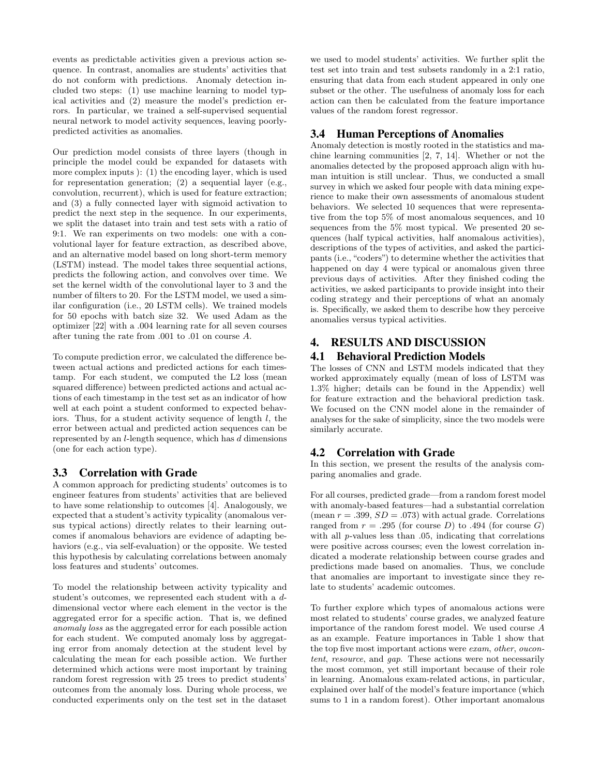events as predictable activities given a previous action sequence. In contrast, anomalies are students' activities that do not conform with predictions. Anomaly detection included two steps: (1) use machine learning to model typical activities and (2) measure the model's prediction errors. In particular, we trained a self-supervised sequential neural network to model activity sequences, leaving poorlypredicted activities as anomalies.

Our prediction model consists of three layers (though in principle the model could be expanded for datasets with more complex inputs ): (1) the encoding layer, which is used for representation generation; (2) a sequential layer (e.g., convolution, recurrent), which is used for feature extraction; and (3) a fully connected layer with sigmoid activation to predict the next step in the sequence. In our experiments, we split the dataset into train and test sets with a ratio of 9:1. We ran experiments on two models: one with a convolutional layer for feature extraction, as described above, and an alternative model based on long short-term memory (LSTM) instead. The model takes three sequential actions, predicts the following action, and convolves over time. We set the kernel width of the convolutional layer to 3 and the number of filters to 20. For the LSTM model, we used a similar configuration (i.e., 20 LSTM cells). We trained models for 50 epochs with batch size 32. We used Adam as the optimizer [22] with a .004 learning rate for all seven courses after tuning the rate from .001 to .01 on course A.

To compute prediction error, we calculated the difference between actual actions and predicted actions for each timestamp. For each student, we computed the L2 loss (mean squared difference) between predicted actions and actual actions of each timestamp in the test set as an indicator of how well at each point a student conformed to expected behaviors. Thus, for a student activity sequence of length  $l$ , the error between actual and predicted action sequences can be represented by an l-length sequence, which has d dimensions (one for each action type).

## 3.3 Correlation with Grade

A common approach for predicting students' outcomes is to engineer features from students' activities that are believed to have some relationship to outcomes [4]. Analogously, we expected that a student's activity typicality (anomalous versus typical actions) directly relates to their learning outcomes if anomalous behaviors are evidence of adapting behaviors (e.g., via self-evaluation) or the opposite. We tested this hypothesis by calculating correlations between anomaly loss features and students' outcomes.

To model the relationship between activity typicality and student's outcomes, we represented each student with a ddimensional vector where each element in the vector is the aggregated error for a specific action. That is, we defined anomaly loss as the aggregated error for each possible action for each student. We computed anomaly loss by aggregating error from anomaly detection at the student level by calculating the mean for each possible action. We further determined which actions were most important by training random forest regression with 25 trees to predict students' outcomes from the anomaly loss. During whole process, we conducted experiments only on the test set in the dataset we used to model students' activities. We further split the test set into train and test subsets randomly in a 2:1 ratio, ensuring that data from each student appeared in only one subset or the other. The usefulness of anomaly loss for each action can then be calculated from the feature importance values of the random forest regressor.

## 3.4 Human Perceptions of Anomalies

Anomaly detection is mostly rooted in the statistics and machine learning communities [2, 7, 14]. Whether or not the anomalies detected by the proposed approach align with human intuition is still unclear. Thus, we conducted a small survey in which we asked four people with data mining experience to make their own assessments of anomalous student behaviors. We selected 10 sequences that were representative from the top 5% of most anomalous sequences, and 10 sequences from the 5% most typical. We presented 20 sequences (half typical activities, half anomalous activities), descriptions of the types of activities, and asked the participants (i.e., "coders") to determine whether the activities that happened on day 4 were typical or anomalous given three previous days of activities. After they finished coding the activities, we asked participants to provide insight into their coding strategy and their perceptions of what an anomaly is. Specifically, we asked them to describe how they perceive anomalies versus typical activities.

# 4. RESULTS AND DISCUSSION

# 4.1 Behavioral Prediction Models

The losses of CNN and LSTM models indicated that they worked approximately equally (mean of loss of LSTM was 1.3% higher; details can be found in the Appendix) well for feature extraction and the behavioral prediction task. We focused on the CNN model alone in the remainder of analyses for the sake of simplicity, since the two models were similarly accurate.

# 4.2 Correlation with Grade

In this section, we present the results of the analysis comparing anomalies and grade.

For all courses, predicted grade—from a random forest model with anomaly-based features—had a substantial correlation (mean  $r = .399$ ,  $SD = .073$ ) with actual grade. Correlations ranged from  $r = .295$  (for course D) to .494 (for course G) with all *p*-values less than .05, indicating that correlations were positive across courses; even the lowest correlation indicated a moderate relationship between course grades and predictions made based on anomalies. Thus, we conclude that anomalies are important to investigate since they relate to students' academic outcomes.

To further explore which types of anomalous actions were most related to students' course grades, we analyzed feature importance of the random forest model. We used course A as an example. Feature importances in Table 1 show that the top five most important actions were exam, other, oucontent, resource, and gap. These actions were not necessarily the most common, yet still important because of their role in learning. Anomalous exam-related actions, in particular, explained over half of the model's feature importance (which sums to 1 in a random forest). Other important anomalous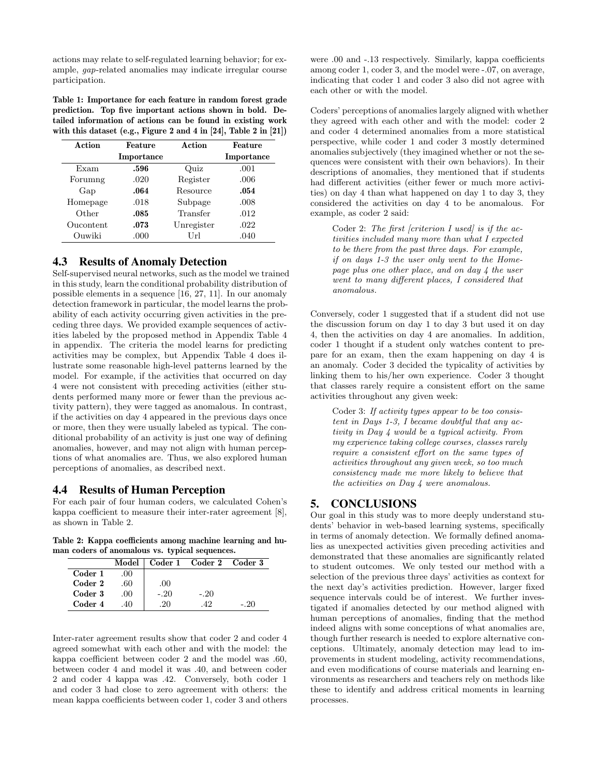actions may relate to self-regulated learning behavior; for example, gap-related anomalies may indicate irregular course participation.

Table 1: Importance for each feature in random forest grade prediction. Top five important actions shown in bold. Detailed information of actions can be found in existing work with this dataset (e.g., Figure 2 and 4 in [24], Table 2 in [21])

| Action    | Feature    | Action     | Feature    |
|-----------|------------|------------|------------|
|           | Importance |            | Importance |
| Exam      | .596       | Quiz       | .001       |
| Forumng   | .020       | Register   | .006       |
| Gap       | .064       | Resource   | .054       |
| Homepage  | .018       | Subpage    | .008       |
| Other     | .085       | Transfer   | .012       |
| Oucontent | .073       | Unregister | .022       |
| Ouwiki    | .000       | Url        | .040       |

## 4.3 Results of Anomaly Detection

Self-supervised neural networks, such as the model we trained in this study, learn the conditional probability distribution of possible elements in a sequence [16, 27, 11]. In our anomaly detection framework in particular, the model learns the probability of each activity occurring given activities in the preceding three days. We provided example sequences of activities labeled by the proposed method in Appendix Table 4 in appendix. The criteria the model learns for predicting activities may be complex, but Appendix Table 4 does illustrate some reasonable high-level patterns learned by the model. For example, if the activities that occurred on day 4 were not consistent with preceding activities (either students performed many more or fewer than the previous activity pattern), they were tagged as anomalous. In contrast, if the activities on day 4 appeared in the previous days once or more, then they were usually labeled as typical. The conditional probability of an activity is just one way of defining anomalies, however, and may not align with human perceptions of what anomalies are. Thus, we also explored human perceptions of anomalies, as described next.

#### 4.4 Results of Human Perception

For each pair of four human coders, we calculated Cohen's kappa coefficient to measure their inter-rater agreement [8], as shown in Table 2.

Table 2: Kappa coefficients among machine learning and human coders of anomalous vs. typical sequences.

|         | Model        |        | Coder 1 Coder 2 Coder 3 |        |
|---------|--------------|--------|-------------------------|--------|
| Coder 1 | $($ $)($ $)$ |        |                         |        |
| Coder 2 | .60          | .00    |                         |        |
| Coder 3 | .00          | $-.20$ | $-.20$                  |        |
| Coder 4 | 40           | 20     | 42                      | $-.20$ |

Inter-rater agreement results show that coder 2 and coder 4 agreed somewhat with each other and with the model: the kappa coefficient between coder 2 and the model was .60, between coder 4 and model it was .40, and between coder 2 and coder 4 kappa was .42. Conversely, both coder 1 and coder 3 had close to zero agreement with others: the mean kappa coefficients between coder 1, coder 3 and others

were .00 and -.13 respectively. Similarly, kappa coefficients among coder 1, coder 3, and the model were -.07, on average, indicating that coder 1 and coder 3 also did not agree with each other or with the model.

Coders' perceptions of anomalies largely aligned with whether they agreed with each other and with the model: coder 2 and coder 4 determined anomalies from a more statistical perspective, while coder 1 and coder 3 mostly determined anomalies subjectively (they imagined whether or not the sequences were consistent with their own behaviors). In their descriptions of anomalies, they mentioned that if students had different activities (either fewer or much more activities) on day 4 than what happened on day 1 to day 3, they considered the activities on day 4 to be anomalous. For example, as coder 2 said:

Coder 2: The first [criterion I used] is if the  $ac$ tivities included many more than what I expected to be there from the past three days. For example, if on days 1-3 the user only went to the Homepage plus one other place, and on day 4 the user went to many different places, I considered that anomalous.

Conversely, coder 1 suggested that if a student did not use the discussion forum on day 1 to day 3 but used it on day 4, then the activities on day 4 are anomalies. In addition, coder 1 thought if a student only watches content to prepare for an exam, then the exam happening on day 4 is an anomaly. Coder 3 decided the typicality of activities by linking them to his/her own experience. Coder 3 thought that classes rarely require a consistent effort on the same activities throughout any given week:

Coder 3: If activity types appear to be too consistent in Days 1-3, I became doubtful that any activity in Day 4 would be a typical activity. From my experience taking college courses, classes rarely require a consistent effort on the same types of activities throughout any given week, so too much consistency made me more likely to believe that the activities on Day 4 were anomalous.

## 5. CONCLUSIONS

Our goal in this study was to more deeply understand students' behavior in web-based learning systems, specifically in terms of anomaly detection. We formally defined anomalies as unexpected activities given preceding activities and demonstrated that these anomalies are significantly related to student outcomes. We only tested our method with a selection of the previous three days' activities as context for the next day's activities prediction. However, larger fixed sequence intervals could be of interest. We further investigated if anomalies detected by our method aligned with human perceptions of anomalies, finding that the method indeed aligns with some conceptions of what anomalies are, though further research is needed to explore alternative conceptions. Ultimately, anomaly detection may lead to improvements in student modeling, activity recommendations, and even modifications of course materials and learning environments as researchers and teachers rely on methods like these to identify and address critical moments in learning processes.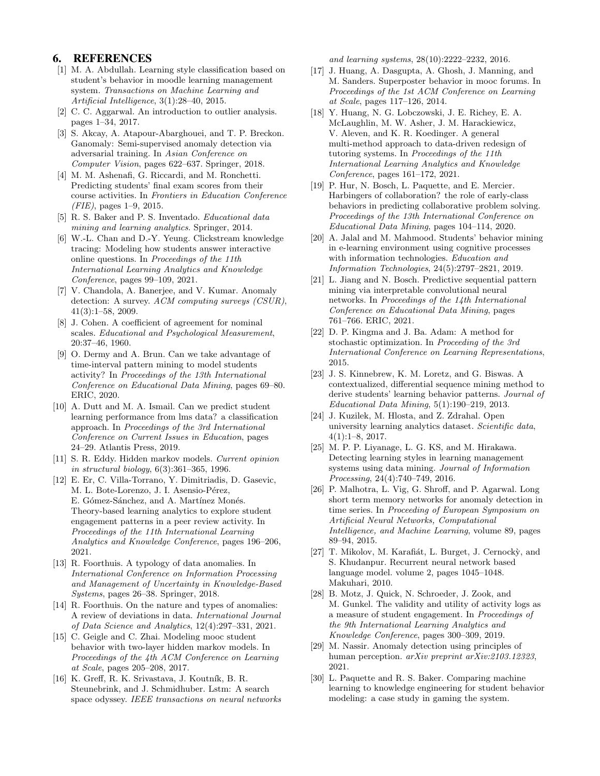## 6. REFERENCES

- [1] M. A. Abdullah. Learning style classification based on student's behavior in moodle learning management system. Transactions on Machine Learning and Artificial Intelligence, 3(1):28–40, 2015.
- [2] C. C. Aggarwal. An introduction to outlier analysis. pages 1–34, 2017.
- [3] S. Akcay, A. Atapour-Abarghouei, and T. P. Breckon. Ganomaly: Semi-supervised anomaly detection via adversarial training. In Asian Conference on Computer Vision, pages 622–637. Springer, 2018.
- [4] M. M. Ashenafi, G. Riccardi, and M. Ronchetti. Predicting students' final exam scores from their course activities. In Frontiers in Education Conference  $(FIE)$ , pages 1–9, 2015.
- [5] R. S. Baker and P. S. Inventado. Educational data mining and learning analytics. Springer, 2014.
- [6] W.-L. Chan and D.-Y. Yeung. Clickstream knowledge tracing: Modeling how students answer interactive online questions. In Proceedings of the 11th International Learning Analytics and Knowledge Conference, pages 99–109, 2021.
- [7] V. Chandola, A. Banerjee, and V. Kumar. Anomaly detection: A survey. ACM computing surveys (CSUR), 41(3):1–58, 2009.
- [8] J. Cohen. A coefficient of agreement for nominal scales. Educational and Psychological Measurement, 20:37–46, 1960.
- [9] O. Dermy and A. Brun. Can we take advantage of time-interval pattern mining to model students activity? In Proceedings of the 13th International Conference on Educational Data Mining, pages 69–80. ERIC, 2020.
- [10] A. Dutt and M. A. Ismail. Can we predict student learning performance from lms data? a classification approach. In Proceedings of the 3rd International Conference on Current Issues in Education, pages 24–29. Atlantis Press, 2019.
- [11] S. R. Eddy. Hidden markov models. Current opinion in structural biology, 6(3):361–365, 1996.
- [12] E. Er, C. Villa-Torrano, Y. Dimitriadis, D. Gasevic, M. L. Bote-Lorenzo, J. I. Asensio-Pérez, E. Gómez-Sánchez, and A. Martínez Monés. Theory-based learning analytics to explore student engagement patterns in a peer review activity. In Proceedings of the 11th International Learning Analytics and Knowledge Conference, pages 196–206, 2021.
- [13] R. Foorthuis. A typology of data anomalies. In International Conference on Information Processing and Management of Uncertainty in Knowledge-Based Systems, pages 26–38. Springer, 2018.
- [14] R. Foorthuis. On the nature and types of anomalies: A review of deviations in data. International Journal of Data Science and Analytics, 12(4):297–331, 2021.
- [15] C. Geigle and C. Zhai. Modeling mooc student behavior with two-layer hidden markov models. In Proceedings of the 4th ACM Conference on Learning at Scale, pages 205–208, 2017.
- [16] K. Greff, R. K. Srivastava, J. Koutník, B. R. Steunebrink, and J. Schmidhuber. Lstm: A search space odyssey. IEEE transactions on neural networks

and learning systems, 28(10):2222–2232, 2016.

- [17] J. Huang, A. Dasgupta, A. Ghosh, J. Manning, and M. Sanders. Superposter behavior in mooc forums. In Proceedings of the 1st ACM Conference on Learning at Scale, pages 117–126, 2014.
- [18] Y. Huang, N. G. Lobczowski, J. E. Richey, E. A. McLaughlin, M. W. Asher, J. M. Harackiewicz, V. Aleven, and K. R. Koedinger. A general multi-method approach to data-driven redesign of tutoring systems. In Proceedings of the 11th International Learning Analytics and Knowledge Conference, pages 161–172, 2021.
- [19] P. Hur, N. Bosch, L. Paquette, and E. Mercier. Harbingers of collaboration? the role of early-class behaviors in predicting collaborative problem solving. Proceedings of the 13th International Conference on Educational Data Mining, pages 104–114, 2020.
- [20] A. Jalal and M. Mahmood. Students' behavior mining in e-learning environment using cognitive processes with information technologies. Education and Information Technologies, 24(5):2797–2821, 2019.
- [21] L. Jiang and N. Bosch. Predictive sequential pattern mining via interpretable convolutional neural networks. In Proceedings of the 14th International Conference on Educational Data Mining, pages 761–766. ERIC, 2021.
- [22] D. P. Kingma and J. Ba. Adam: A method for stochastic optimization. In Proceeding of the 3rd International Conference on Learning Representations, 2015.
- [23] J. S. Kinnebrew, K. M. Loretz, and G. Biswas. A contextualized, differential sequence mining method to derive students' learning behavior patterns. Journal of Educational Data Mining, 5(1):190–219, 2013.
- [24] J. Kuzilek, M. Hlosta, and Z. Zdrahal. Open university learning analytics dataset. Scientific data, 4(1):1–8, 2017.
- [25] M. P. P. Liyanage, L. G. KS, and M. Hirakawa. Detecting learning styles in learning management systems using data mining. Journal of Information Processing, 24(4):740–749, 2016.
- [26] P. Malhotra, L. Vig, G. Shroff, and P. Agarwal. Long short term memory networks for anomaly detection in time series. In Proceeding of European Symposium on Artificial Neural Networks, Computational Intelligence, and Machine Learning, volume 89, pages 89–94, 2015.
- [27] T. Mikolov, M. Karafiát, L. Burget, J. Cernocky, and S. Khudanpur. Recurrent neural network based language model. volume 2, pages 1045–1048. Makuhari, 2010.
- [28] B. Motz, J. Quick, N. Schroeder, J. Zook, and M. Gunkel. The validity and utility of activity logs as a measure of student engagement. In Proceedings of the 9th International Learning Analytics and Knowledge Conference, pages 300–309, 2019.
- [29] M. Nassir. Anomaly detection using principles of human perception. arXiv preprint arXiv:2103.12323, 2021.
- [30] L. Paquette and R. S. Baker. Comparing machine learning to knowledge engineering for student behavior modeling: a case study in gaming the system.